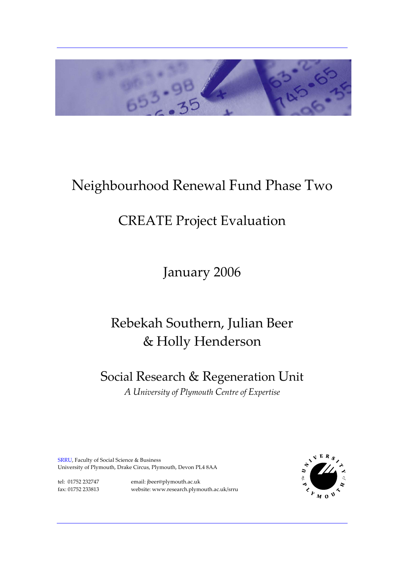

# Neighbourhood Renewal Fund Phase Two

# CREATE Project Evaluation

January 2006

# Rebekah Southern, Julian Beer & Holly Henderson

# Social Research & Regeneration Unit *A University of Plymouth Centre of Expertise*

SRRU, Faculty of Social Science & Business University of Plymouth, Drake Circus, Plymouth, Devon PL4 8AA

tel: 01752 232747 email: jbeer@plymouth.ac.uk fax: 01752 233813 website: www.research.plymouth.ac.uk/srru

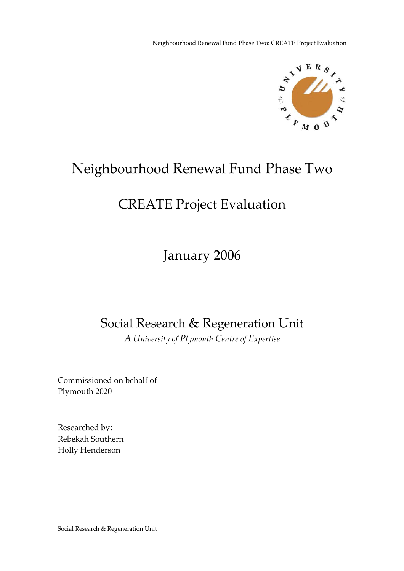

# Neighbourhood Renewal Fund Phase Two

# CREATE Project Evaluation

# January 2006

# Social Research & Regeneration Unit

*A University of Plymouth Centre of Expertise*

Commissioned on behalf of Plymouth 2020

Researched by: Rebekah Southern Holly Henderson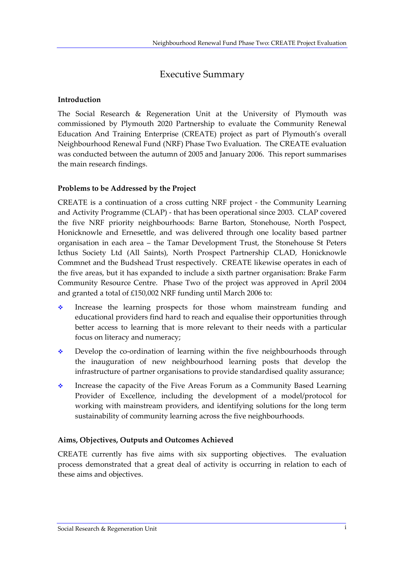# Executive Summary

### **Introduction**

The Social Research & Regeneration Unit at the University of Plymouth was commissioned by Plymouth 2020 Partnership to evaluate the Community Renewal Education And Training Enterprise (CREATE) project as part of Plymouth's overall Neighbourhood Renewal Fund (NRF) Phase Two Evaluation. The CREATE evaluation was conducted between the autumn of 2005 and January 2006. This report summarises the main research findings.

## **Problems to be Addressed by the Project**

CREATE is a continuation of a cross cutting NRF project - the Community Learning and Activity Programme (CLAP) ‐ that has been operational since 2003. CLAP covered the five NRF priority neighbourhoods: Barne Barton, Stonehouse, North Pospect, Honicknowle and Ernesettle, and was delivered through one locality based partner organisation in each area – the Tamar Development Trust, the Stonehouse St Peters Icthus Society Ltd (All Saints), North Prospect Partnership CLAD, Honicknowle Commnet and the Budshead Trust respectively. CREATE likewise operates in each of the five areas, but it has expanded to include a sixth partner organisation: Brake Farm Community Resource Centre. Phase Two of the project was approved in April 2004 and granted a total of £150,002 NRF funding until March 2006 to:

- Increase the learning prospects for those whom mainstream funding and educational providers find hard to reach and equalise their opportunities through better access to learning that is more relevant to their needs with a particular focus on literacy and numeracy;
- ◆ Develop the co-ordination of learning within the five neighbourhoods through the inauguration of new neighbourhood learning posts that develop the infrastructure of partner organisations to provide standardised quality assurance;
- Increase the capacity of the Five Areas Forum as a Community Based Learning Provider of Excellence, including the development of a model/protocol for working with mainstream providers, and identifying solutions for the long term sustainability of community learning across the five neighbourhoods.

#### **Aims, Objectives, Outputs and Outcomes Achieved**

CREATE currently has five aims with six supporting objectives. The evaluation process demonstrated that a great deal of activity is occurring in relation to each of these aims and objectives.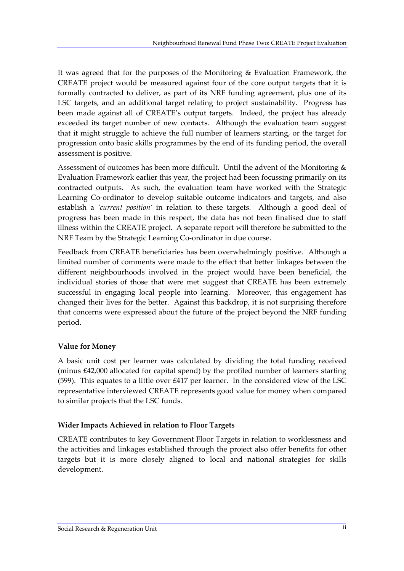It was agreed that for the purposes of the Monitoring & Evaluation Framework, the CREATE project would be measured against four of the core output targets that it is formally contracted to deliver, as part of its NRF funding agreement, plus one of its LSC targets, and an additional target relating to project sustainability. Progress has been made against all of CREATE's output targets. Indeed, the project has already exceeded its target number of new contacts. Although the evaluation team suggest that it might struggle to achieve the full number of learners starting, or the target for progression onto basic skills programmes by the end of its funding period, the overall assessment is positive.

Assessment of outcomes has been more difficult. Until the advent of the Monitoring & Evaluation Framework earlier this year, the project had been focussing primarily on its contracted outputs. As such, the evaluation team have worked with the Strategic Learning Co-ordinator to develop suitable outcome indicators and targets, and also establish a *'current position'* in relation to these targets. Although a good deal of progress has been made in this respect, the data has not been finalised due to staff illness within the CREATE project. A separate report will therefore be submitted to the NRF Team by the Strategic Learning Co-ordinator in due course.

Feedback from CREATE beneficiaries has been overwhelmingly positive. Although a limited number of comments were made to the effect that better linkages between the different neighbourhoods involved in the project would have been beneficial, the individual stories of those that were met suggest that CREATE has been extremely successful in engaging local people into learning. Moreover, this engagement has changed their lives for the better. Against this backdrop, it is not surprising therefore that concerns were expressed about the future of the project beyond the NRF funding period.

#### **Value for Money**

A basic unit cost per learner was calculated by dividing the total funding received (minus £42,000 allocated for capital spend) by the profiled number of learners starting (599). This equates to a little over £417 per learner. In the considered view of the LSC representative interviewed CREATE represents good value for money when compared to similar projects that the LSC funds.

#### **Wider Impacts Achieved in relation to Floor Targets**

CREATE contributes to key Government Floor Targets in relation to worklessness and the activities and linkages established through the project also offer benefits for other targets but it is more closely aligned to local and national strategies for skills development.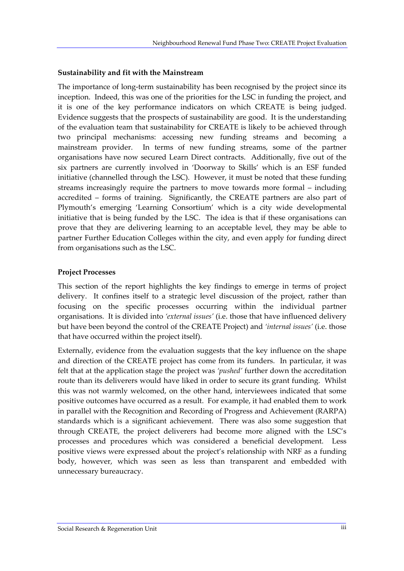#### **Sustainability and fit with the Mainstream**

The importance of long-term sustainability has been recognised by the project since its inception. Indeed, this was one of the priorities for the LSC in funding the project, and it is one of the key performance indicators on which CREATE is being judged. Evidence suggests that the prospects of sustainability are good. It is the understanding of the evaluation team that sustainability for CREATE is likely to be achieved through two principal mechanisms: accessing new funding streams and becoming a mainstream provider. In terms of new funding streams, some of the partner organisations have now secured Learn Direct contracts. Additionally, five out of the six partners are currently involved in 'Doorway to Skills' which is an ESF funded initiative (channelled through the LSC). However, it must be noted that these funding streams increasingly require the partners to move towards more formal – including accredited – forms of training. Significantly, the CREATE partners are also part of Plymouth's emerging 'Learning Consortium' which is a city wide developmental initiative that is being funded by the LSC. The idea is that if these organisations can prove that they are delivering learning to an acceptable level, they may be able to partner Further Education Colleges within the city, and even apply for funding direct from organisations such as the LSC.

#### **Project Processes**

This section of the report highlights the key findings to emerge in terms of project delivery. It confines itself to a strategic level discussion of the project, rather than focusing on the specific processes occurring within the individual partner organisations. It is divided into *'external issues'* (i.e. those that have influenced delivery but have been beyond the control of the CREATE Project) and *'internal issues'* (i.e. those that have occurred within the project itself).

Externally, evidence from the evaluation suggests that the key influence on the shape and direction of the CREATE project has come from its funders. In particular, it was felt that at the application stage the project was *'pushed'* further down the accreditation route than its deliverers would have liked in order to secure its grant funding. Whilst this was not warmly welcomed, on the other hand, interviewees indicated that some positive outcomes have occurred as a result. For example, it had enabled them to work in parallel with the Recognition and Recording of Progress and Achievement (RARPA) standards which is a significant achievement. There was also some suggestion that through CREATE, the project deliverers had become more aligned with the LSC's processes and procedures which was considered a beneficial development. Less positive views were expressed about the project's relationship with NRF as a funding body, however, which was seen as less than transparent and embedded with unnecessary bureaucracy.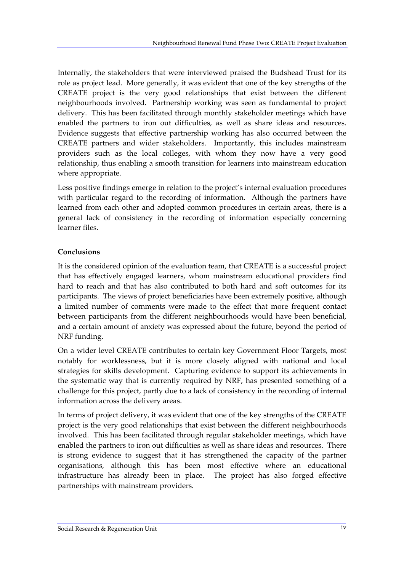Internally, the stakeholders that were interviewed praised the Budshead Trust for its role as project lead. More generally, it was evident that one of the key strengths of the CREATE project is the very good relationships that exist between the different neighbourhoods involved. Partnership working was seen as fundamental to project delivery. This has been facilitated through monthly stakeholder meetings which have enabled the partners to iron out difficulties, as well as share ideas and resources. Evidence suggests that effective partnership working has also occurred between the CREATE partners and wider stakeholders. Importantly, this includes mainstream providers such as the local colleges, with whom they now have a very good relationship, thus enabling a smooth transition for learners into mainstream education where appropriate.

Less positive findings emerge in relation to the project's internal evaluation procedures with particular regard to the recording of information. Although the partners have learned from each other and adopted common procedures in certain areas, there is a general lack of consistency in the recording of information especially concerning learner files.

#### **Conclusions**

It is the considered opinion of the evaluation team, that CREATE is a successful project that has effectively engaged learners, whom mainstream educational providers find hard to reach and that has also contributed to both hard and soft outcomes for its participants. The views of project beneficiaries have been extremely positive, although a limited number of comments were made to the effect that more frequent contact between participants from the different neighbourhoods would have been beneficial, and a certain amount of anxiety was expressed about the future, beyond the period of NRF funding.

On a wider level CREATE contributes to certain key Government Floor Targets, most notably for worklessness, but it is more closely aligned with national and local strategies for skills development. Capturing evidence to support its achievements in the systematic way that is currently required by NRF, has presented something of a challenge for this project, partly due to a lack of consistency in the recording of internal information across the delivery areas.

In terms of project delivery, it was evident that one of the key strengths of the CREATE project is the very good relationships that exist between the different neighbourhoods involved. This has been facilitated through regular stakeholder meetings, which have enabled the partners to iron out difficulties as well as share ideas and resources. There is strong evidence to suggest that it has strengthened the capacity of the partner organisations, although this has been most effective where an educational infrastructure has already been in place. The project has also forged effective partnerships with mainstream providers.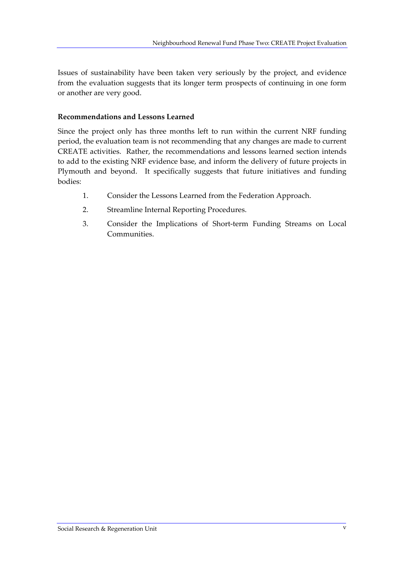Issues of sustainability have been taken very seriously by the project, and evidence from the evaluation suggests that its longer term prospects of continuing in one form or another are very good.

#### **Recommendations and Lessons Learned**

Since the project only has three months left to run within the current NRF funding period, the evaluation team is not recommending that any changes are made to current CREATE activities. Rather, the recommendations and lessons learned section intends to add to the existing NRF evidence base, and inform the delivery of future projects in Plymouth and beyond. It specifically suggests that future initiatives and funding bodies:

- 1. Consider the Lessons Learned from the Federation Approach.
- 2. Streamline Internal Reporting Procedures.
- 3. Consider the Implications of Short‐term Funding Streams on Local Communities.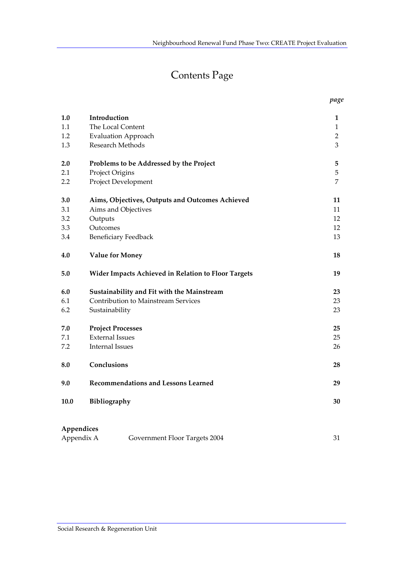*page*

# Contents Page

| 1.0  | Introduction                                               | 1              |
|------|------------------------------------------------------------|----------------|
| 1.1  | The Local Content                                          | 1              |
| 1.2  | <b>Evaluation Approach</b>                                 | $\overline{2}$ |
| 1.3  | Research Methods                                           | 3              |
| 2.0  | Problems to be Addressed by the Project                    | 5              |
| 2.1  | Project Origins                                            | 5              |
| 2.2  | Project Development                                        | 7              |
| 3.0  | Aims, Objectives, Outputs and Outcomes Achieved            | 11             |
| 3.1  | Aims and Objectives                                        | 11             |
| 3.2  | Outputs                                                    | 12             |
| 3.3  | Outcomes                                                   | 12             |
| 3.4  | <b>Beneficiary Feedback</b>                                | 13             |
| 4.0  | <b>Value for Money</b>                                     | 18             |
| 5.0  | <b>Wider Impacts Achieved in Relation to Floor Targets</b> | 19             |
| 6.0  | Sustainability and Fit with the Mainstream                 | 23             |
| 6.1  | <b>Contribution to Mainstream Services</b>                 | 23             |
| 6.2  | Sustainability                                             | 23             |
| 7.0  | <b>Project Processes</b>                                   | 25             |
| 7.1  | <b>External Issues</b>                                     | 25             |
| 7.2  | <b>Internal Issues</b>                                     | 26             |
| 8.0  | Conclusions                                                | 28             |
| 9.0  | <b>Recommendations and Lessons Learned</b>                 | 29             |
| 10.0 | Bibliography                                               | 30             |
|      |                                                            |                |
|      | Appendices                                                 |                |
|      | Appendix A<br>Government Floor Targets 2004                | 31             |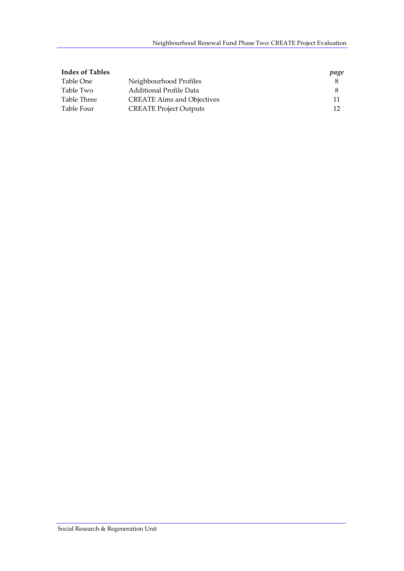| <b>Index of Tables</b> | page                              |    |
|------------------------|-----------------------------------|----|
| Table One              | Neighbourhood Profiles            |    |
| Table Two              | Additional Profile Data           |    |
| Table Three            | <b>CREATE Aims and Objectives</b> | 11 |
| Table Four             | <b>CREATE Project Outputs</b>     | 12 |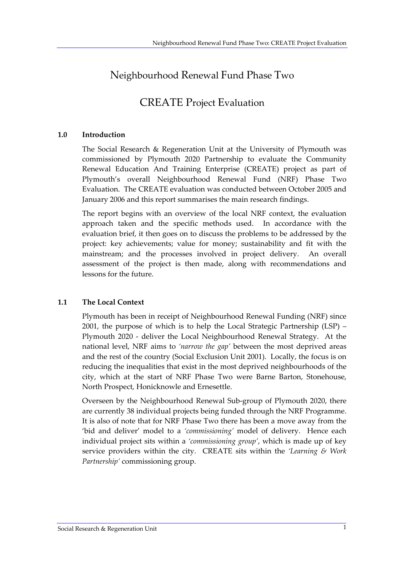# Neighbourhood Renewal Fund Phase Two

# CREATE Project Evaluation

## **1.0 Introduction**

The Social Research & Regeneration Unit at the University of Plymouth was commissioned by Plymouth 2020 Partnership to evaluate the Community Renewal Education And Training Enterprise (CREATE) project as part of Plymouth's overall Neighbourhood Renewal Fund (NRF) Phase Two Evaluation. The CREATE evaluation was conducted between October 2005 and January 2006 and this report summarises the main research findings.

The report begins with an overview of the local NRF context, the evaluation approach taken and the specific methods used. In accordance with the evaluation brief, it then goes on to discuss the problems to be addressed by the project: key achievements; value for money; sustainability and fit with the mainstream; and the processes involved in project delivery. An overall assessment of the project is then made, along with recommendations and lessons for the future.

# **1.1 The Local Context**

Plymouth has been in receipt of Neighbourhood Renewal Funding (NRF) since 2001, the purpose of which is to help the Local Strategic Partnership (LSP) – Plymouth 2020 ‐ deliver the Local Neighbourhood Renewal Strategy. At the national level, NRF aims to *'narrow the gap'* between the most deprived areas and the rest of the country (Social Exclusion Unit 2001). Locally, the focus is on reducing the inequalities that exist in the most deprived neighbourhoods of the city, which at the start of NRF Phase Two were Barne Barton, Stonehouse, North Prospect, Honicknowle and Ernesettle.

Overseen by the Neighbourhood Renewal Sub‐group of Plymouth 2020, there are currently 38 individual projects being funded through the NRF Programme. It is also of note that for NRF Phase Two there has been a move away from the 'bid and deliver' model to a 'commissioning' model of delivery. Hence each individual project sits within a *'commissioning group'*, which is made up of key service providers within the city. CREATE sits within the *'Learning & Work Partnership'* commissioning group.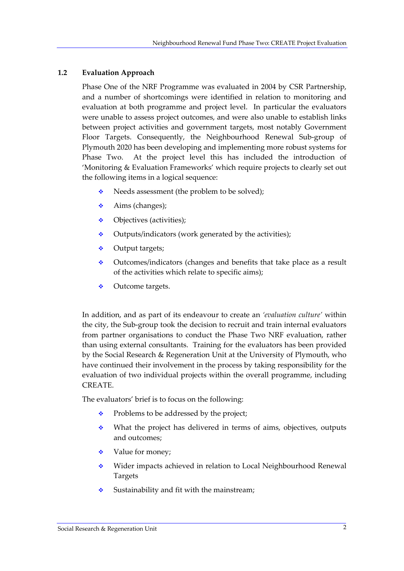#### **1.2 Evaluation Approach**

Phase One of the NRF Programme was evaluated in 2004 by CSR Partnership, and a number of shortcomings were identified in relation to monitoring and evaluation at both programme and project level. In particular the evaluators were unable to assess project outcomes, and were also unable to establish links between project activities and government targets, most notably Government Floor Targets. Consequently, the Neighbourhood Renewal Sub‐group of Plymouth 2020 has been developing and implementing more robust systems for Phase Two. At the project level this has included the introduction of 'Monitoring & Evaluation Frameworks' which require projects to clearly set out the following items in a logical sequence:

- $\triangle$  Needs assessment (the problem to be solved);
- $\triangleleft$  Aims (changes);
- Objectives (activities);
- $\triangleleft$  Outputs/indicators (work generated by the activities);
- ◆ Output targets;
- Outcomes/indicators (changes and benefits that take place as a result of the activities which relate to specific aims);
- Outcome targets.

In addition, and as part of its endeavour to create an *'evaluation culture'* within the city, the Sub‐group took the decision to recruit and train internal evaluators from partner organisations to conduct the Phase Two NRF evaluation, rather than using external consultants. Training for the evaluators has been provided by the Social Research & Regeneration Unit at the University of Plymouth, who have continued their involvement in the process by taking responsibility for the evaluation of two individual projects within the overall programme, including CREATE.

The evaluators' brief is to focus on the following:

- $\triangle$  Problems to be addressed by the project;
- What the project has delivered in terms of aims, objectives, outputs and outcomes;
- $\div$  Value for money;
- Wider impacts achieved in relation to Local Neighbourhood Renewal Targets
- $\cdot$  Sustainability and fit with the mainstream;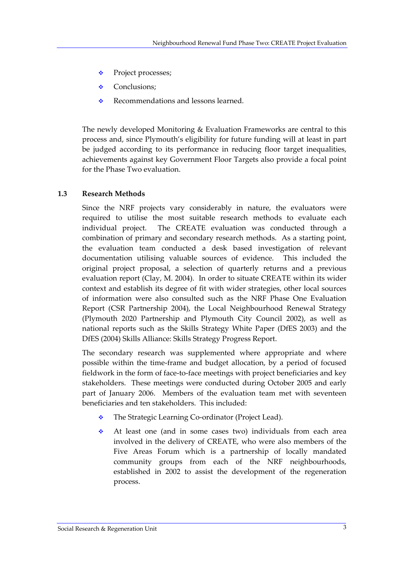- Project processes;
- Conclusions;
- Recommendations and lessons learned.

The newly developed Monitoring & Evaluation Frameworks are central to this process and, since Plymouth's eligibility for future funding will at least in part be judged according to its performance in reducing floor target inequalities, achievements against key Government Floor Targets also provide a focal point for the Phase Two evaluation.

#### **1.3 Research Methods**

Since the NRF projects vary considerably in nature, the evaluators were required to utilise the most suitable research methods to evaluate each individual project. The CREATE evaluation was conducted through a combination of primary and secondary research methods. As a starting point, the evaluation team conducted a desk based investigation of relevant documentation utilising valuable sources of evidence. This included the original project proposal, a selection of quarterly returns and a previous evaluation report (Clay, M. 2004). In order to situate CREATE within its wider context and establish its degree of fit with wider strategies, other local sources of information were also consulted such as the NRF Phase One Evaluation Report (CSR Partnership 2004), the Local Neighbourhood Renewal Strategy (Plymouth 2020 Partnership and Plymouth City Council 2002), as well as national reports such as the Skills Strategy White Paper (DfES 2003) and the DfES (2004) Skills Alliance: Skills Strategy Progress Report.

The secondary research was supplemented where appropriate and where possible within the time‐frame and budget allocation, by a period of focused fieldwork in the form of face-to-face meetings with project beneficiaries and key stakeholders. These meetings were conducted during October 2005 and early part of January 2006. Members of the evaluation team met with seventeen beneficiaries and ten stakeholders. This included:

- The Strategic Learning Co-ordinator (Project Lead).
- At least one (and in some cases two) individuals from each area involved in the delivery of CREATE, who were also members of the Five Areas Forum which is a partnership of locally mandated community groups from each of the NRF neighbourhoods, established in 2002 to assist the development of the regeneration process.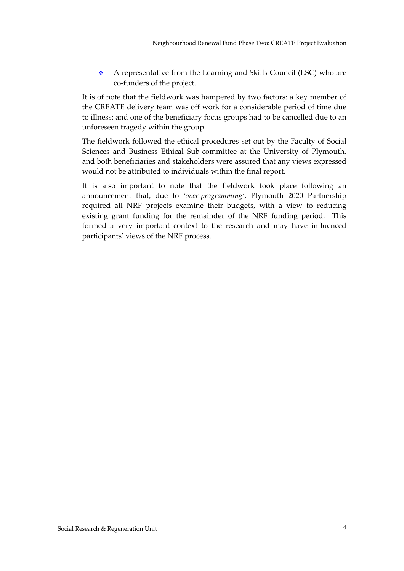A representative from the Learning and Skills Council (LSC) who are co‐funders of the project.

It is of note that the fieldwork was hampered by two factors: a key member of the CREATE delivery team was off work for a considerable period of time due to illness; and one of the beneficiary focus groups had to be cancelled due to an unforeseen tragedy within the group.

The fieldwork followed the ethical procedures set out by the Faculty of Social Sciences and Business Ethical Sub‐committee at the University of Plymouth, and both beneficiaries and stakeholders were assured that any views expressed would not be attributed to individuals within the final report.

It is also important to note that the fieldwork took place following an announcement that, due to *'over‐programming'*, Plymouth 2020 Partnership required all NRF projects examine their budgets, with a view to reducing existing grant funding for the remainder of the NRF funding period. This formed a very important context to the research and may have influenced participants' views of the NRF process.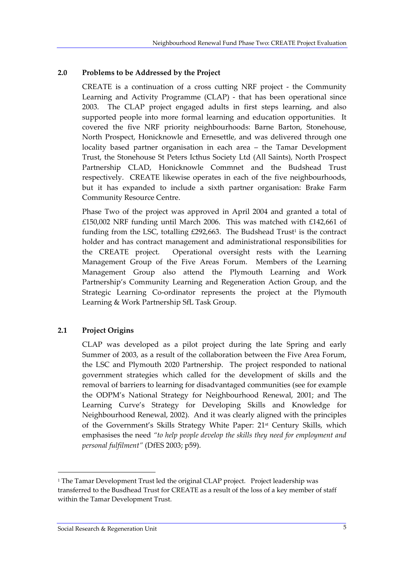#### **2.0 Problems to be Addressed by the Project**

CREATE is a continuation of a cross cutting NRF project ‐ the Community Learning and Activity Programme (CLAP) - that has been operational since 2003. The CLAP project engaged adults in first steps learning, and also supported people into more formal learning and education opportunities. It covered the five NRF priority neighbourhoods: Barne Barton, Stonehouse, North Prospect, Honicknowle and Ernesettle, and was delivered through one locality based partner organisation in each area – the Tamar Development Trust, the Stonehouse St Peters Icthus Society Ltd (All Saints), North Prospect Partnership CLAD, Honicknowle Commnet and the Budshead Trust respectively. CREATE likewise operates in each of the five neighbourhoods, but it has expanded to include a sixth partner organisation: Brake Farm Community Resource Centre.

Phase Two of the project was approved in April 2004 and granted a total of £150,002 NRF funding until March 2006. This was matched with £142,661 of funding from the LSC, totalling  $£292,663$ . The Budshead Trust<sup>1</sup> is the contract holder and has contract management and administrational responsibilities for the CREATE project. Operational oversight rests with the Learning Management Group of the Five Areas Forum. Members of the Learning Management Group also attend the Plymouth Learning and Work Partnership's Community Learning and Regeneration Action Group, and the Strategic Learning Co-ordinator represents the project at the Plymouth Learning & Work Partnership SfL Task Group.

#### **2.1 Project Origins**

CLAP was developed as a pilot project during the late Spring and early Summer of 2003, as a result of the collaboration between the Five Area Forum, the LSC and Plymouth 2020 Partnership. The project responded to national government strategies which called for the development of skills and the removal of barriers to learning for disadvantaged communities (see for example the ODPM's National Strategy for Neighbourhood Renewal, 2001; and The Learning Curve's Strategy for Developing Skills and Knowledge for Neighbourhood Renewal, 2002). And it was clearly aligned with the principles of the Government's Skills Strategy White Paper: 21st Century Skills, which emphasises the need *"to help people develop the skills they need for employment and personal fulfilment"* (DfES 2003; p59).

<sup>&</sup>lt;sup>1</sup> The Tamar Development Trust led the original CLAP project. Project leadership was transferred to the Busdhead Trust for CREATE as a result of the loss of a key member of staff within the Tamar Development Trust.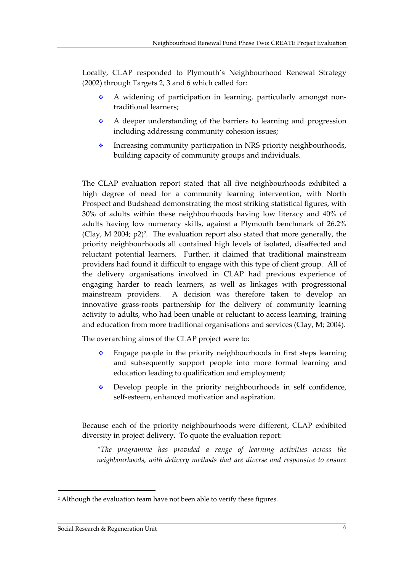Locally, CLAP responded to Plymouth's Neighbourhood Renewal Strategy (2002) through Targets 2, 3 and 6 which called for:

- ◆ A widening of participation in learning, particularly amongst nontraditional learners;
- A deeper understanding of the barriers to learning and progression including addressing community cohesion issues;
- Increasing community participation in NRS priority neighbourhoods, building capacity of community groups and individuals.

The CLAP evaluation report stated that all five neighbourhoods exhibited a high degree of need for a community learning intervention, with North Prospect and Budshead demonstrating the most striking statistical figures, with 30% of adults within these neighbourhoods having low literacy and 40% of adults having low numeracy skills, against a Plymouth benchmark of 26.2% (Clay, M 2004;  $p2$ )<sup>2</sup>. The evaluation report also stated that more generally, the priority neighbourhoods all contained high levels of isolated, disaffected and reluctant potential learners. Further, it claimed that traditional mainstream providers had found it difficult to engage with this type of client group. All of the delivery organisations involved in CLAP had previous experience of engaging harder to reach learners, as well as linkages with progressional mainstream providers. A decision was therefore taken to develop an innovative grass‐roots partnership for the delivery of community learning activity to adults, who had been unable or reluctant to access learning, training and education from more traditional organisations and services (Clay, M; 2004).

The overarching aims of the CLAP project were to:

- $\bullet$  Engage people in the priority neighbourhoods in first steps learning and subsequently support people into more formal learning and education leading to qualification and employment;
- Develop people in the priority neighbourhoods in self confidence, self‐esteem, enhanced motivation and aspiration.

Because each of the priority neighbourhoods were different, CLAP exhibited diversity in project delivery. To quote the evaluation report:

*"The programme has provided a range of learning activities across the neighbourhoods, with delivery methods that are diverse and responsive to ensure*

<sup>&</sup>lt;sup>2</sup> Although the evaluation team have not been able to verify these figures.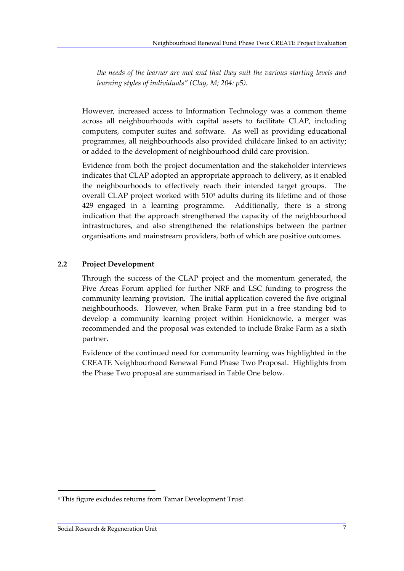*the needs of the learner are met and that they suit the various starting levels and learning styles of individuals" (Clay, M; 204: p5).*

However, increased access to Information Technology was a common theme across all neighbourhoods with capital assets to facilitate CLAP, including computers, computer suites and software. As well as providing educational programmes, all neighbourhoods also provided childcare linked to an activity; or added to the development of neighbourhood child care provision.

Evidence from both the project documentation and the stakeholder interviews indicates that CLAP adopted an appropriate approach to delivery, as it enabled the neighbourhoods to effectively reach their intended target groups. The overall CLAP project worked with 510<sup>3</sup> adults during its lifetime and of those 429 engaged in a learning programme. Additionally, there is a strong indication that the approach strengthened the capacity of the neighbourhood infrastructures, and also strengthened the relationships between the partner organisations and mainstream providers, both of which are positive outcomes.

#### **2.2 Project Development**

Through the success of the CLAP project and the momentum generated, the Five Areas Forum applied for further NRF and LSC funding to progress the community learning provision. The initial application covered the five original neighbourhoods. However, when Brake Farm put in a free standing bid to develop a community learning project within Honicknowle, a merger was recommended and the proposal was extended to include Brake Farm as a sixth partner.

Evidence of the continued need for community learning was highlighted in the CREATE Neighbourhood Renewal Fund Phase Two Proposal. Highlights from the Phase Two proposal are summarised in Table One below.

<sup>&</sup>lt;sup>3</sup> This figure excludes returns from Tamar Development Trust.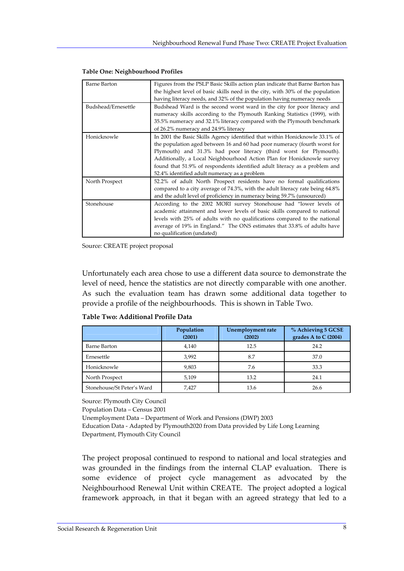| Figures from the PSLP Basic Skills action plan indicate that Barne Barton has  |
|--------------------------------------------------------------------------------|
|                                                                                |
| the highest level of basic skills need in the city, with 30% of the population |
| having literacy needs, and 32% of the population having numeracy needs         |
| Budshead Ward is the second worst ward in the city for poor literacy and       |
| numeracy skills according to the Plymouth Ranking Statistics (1999), with      |
| 35.5% numeracy and 32.1% literacy compared with the Plymouth benchmark         |
| of 26.2% numeracy and 24.9% literacy                                           |
| In 2001 the Basic Skills Agency identified that within Honicknowle 33.1% of    |
| the population aged between 16 and 60 had poor numeracy (fourth worst for      |
| Plymouth) and 31.3% had poor literacy (third worst for Plymouth).              |
| Additionally, a Local Neighbourhood Action Plan for Honicknowle survey         |
| found that 51.9% of respondents identified adult literacy as a problem and     |
| 52.4% identified adult numeracy as a problem                                   |
| 52.2% of adult North Prospect residents have no formal qualifications          |
| compared to a city average of 74.3%, with the adult literacy rate being 64.8%  |
| and the adult level of proficiency in numeracy being 59.7% (unsourced)         |
| According to the 2002 MORI survey Stonehouse had "lower levels of              |
| academic attainment and lower levels of basic skills compared to national      |
| levels with 25% of adults with no qualifications compared to the national      |
| average of 19% in England." The ONS estimates that 33.8% of adults have        |
| no qualification (undated)                                                     |
|                                                                                |

|  | <b>Table One: Neighbourhood Profiles</b> |  |
|--|------------------------------------------|--|
|--|------------------------------------------|--|

Source: CREATE project proposal

Unfortunately each area chose to use a different data source to demonstrate the level of need, hence the statistics are not directly comparable with one another. As such the evaluation team has drawn some additional data together to provide a profile of the neighbourhoods. This is shown in Table Two.

|                            | Population<br>(2001) | Unemployment rate<br>(2002) | % Achieving 5 GCSE<br>grades A to C (2004) |
|----------------------------|----------------------|-----------------------------|--------------------------------------------|
| Barne Barton               | 4,140                | 12.5                        | 24.2                                       |
| Ernesettle                 | 3,992                | 8.7                         | 37.0                                       |
| Honicknowle                | 9,803                | 7.6                         | 33.3                                       |
| North Prospect             | 5,109                | 13.2                        | 24.1                                       |
| Stonehouse/St Peter's Ward | 7.427                | 13.6                        | 26.6                                       |

**Table Two: Additional Profile Data**

Source: Plymouth City Council

Population Data – Census 2001

Unemployment Data – Department of Work and Pensions (DWP) 2003

Education Data ‐ Adapted by Plymouth2020 from Data provided by Life Long Learning Department, Plymouth City Council

The project proposal continued to respond to national and local strategies and was grounded in the findings from the internal CLAP evaluation. There is some evidence of project cycle management as advocated by the Neighbourhood Renewal Unit within CREATE. The project adopted a logical framework approach, in that it began with an agreed strategy that led to a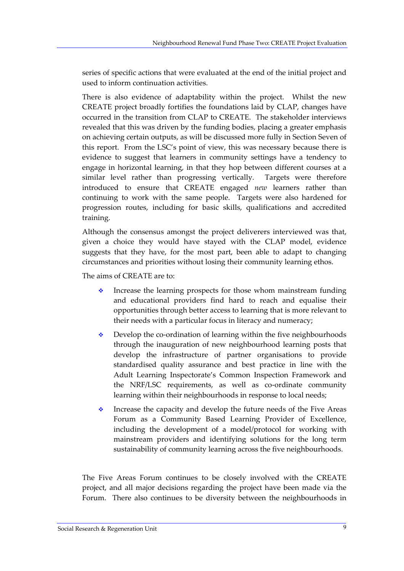series of specific actions that were evaluated at the end of the initial project and used to inform continuation activities.

There is also evidence of adaptability within the project. Whilst the new CREATE project broadly fortifies the foundations laid by CLAP, changes have occurred in the transition from CLAP to CREATE. The stakeholder interviews revealed that this was driven by the funding bodies, placing a greater emphasis on achieving certain outputs, as will be discussed more fully in Section Seven of this report. From the LSC's point of view, this was necessary because there is evidence to suggest that learners in community settings have a tendency to engage in horizontal learning, in that they hop between different courses at a similar level rather than progressing vertically. Targets were therefore introduced to ensure that CREATE engaged *new* learners rather than continuing to work with the same people. Targets were also hardened for progression routes, including for basic skills, qualifications and accredited training.

Although the consensus amongst the project deliverers interviewed was that, given a choice they would have stayed with the CLAP model, evidence suggests that they have, for the most part, been able to adapt to changing circumstances and priorities without losing their community learning ethos.

The aims of CREATE are to:

- $\cdot$  Increase the learning prospects for those whom mainstream funding and educational providers find hard to reach and equalise their opportunities through better access to learning that is more relevant to their needs with a particular focus in literacy and numeracy;
- ◆ Develop the co-ordination of learning within the five neighbourhoods through the inauguration of new neighbourhood learning posts that develop the infrastructure of partner organisations to provide standardised quality assurance and best practice in line with the Adult Learning Inspectorate's Common Inspection Framework and the NRF/LSC requirements, as well as co-ordinate community learning within their neighbourhoods in response to local needs;
- $\cdot$  Increase the capacity and develop the future needs of the Five Areas Forum as a Community Based Learning Provider of Excellence, including the development of a model/protocol for working with mainstream providers and identifying solutions for the long term sustainability of community learning across the five neighbourhoods.

The Five Areas Forum continues to be closely involved with the CREATE project, and all major decisions regarding the project have been made via the Forum. There also continues to be diversity between the neighbourhoods in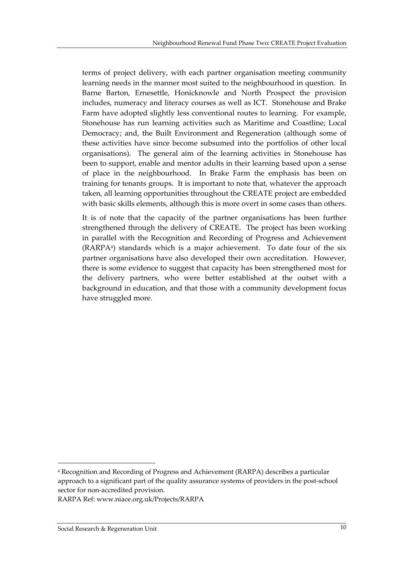terms of project delivery, with each partner organisation meeting community learning needs in the manner most suited to the neighbourhood in question. In Barne Barton, Ernesettle, Honicknowle and North Prospect the provision includes, numeracy and literacy courses as well as ICT. Stonehouse and Brake Farm have adopted slightly less conventional routes to learning. For example, Stonehouse has run learning activities such as Maritime and Coastline; Local Democracy; and, the Built Environment and Regeneration (although some of these activities have since become subsumed into the portfolios of other local organisations). The general aim of the learning activities in Stonehouse has been to support, enable and mentor adults in their learning based upon a sense of place in the neighbourhood. In Brake Farm the emphasis has been on training for tenants groups. It is important to note that, whatever the approach taken, all learning opportunities throughout the CREATE project are embedded with basic skills elements, although this is more overt in some cases than others.

It is of note that the capacity of the partner organisations has been further strengthened through the delivery of CREATE. The project has been working in parallel with the Recognition and Recording of Progress and Achievement (RARPA<sup>4</sup>) standards which is a major achievement. To date four of the six partner organisations have also developed their own accreditation. However, there is some evidence to suggest that capacity has been strengthened most for the delivery partners, who were better established at the outset with a background in education, and that those with a community development focus have struggled more.

<sup>4</sup> Recognition and Recording of Progress and Achievement (RARPA) describes a particular approach to a significant part of the quality assurance systems of providers in the post-school sector for non‐accredited provision.

RARPA Ref: www.niace.org.uk/Projects/RARPA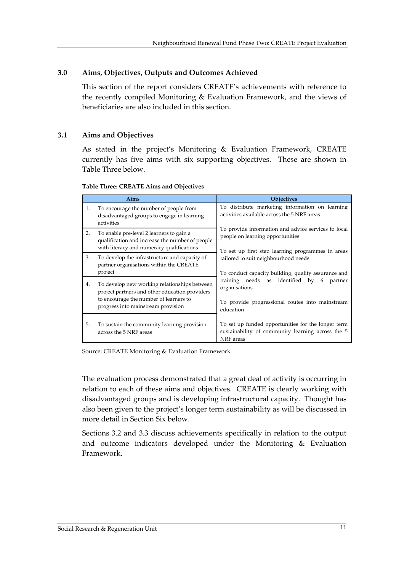#### **3.0 Aims, Objectives, Outputs and Outcomes Achieved**

This section of the report considers CREATE's achievements with reference to the recently compiled Monitoring & Evaluation Framework, and the views of beneficiaries are also included in this section.

#### **3.1 Aims and Objectives**

As stated in the project's Monitoring & Evaluation Framework, CREATE currently has five aims with six supporting objectives. These are shown in Table Three below.

| Aims |                                                                                                                                                                                | Objectives                                                                                                                                   |  |  |
|------|--------------------------------------------------------------------------------------------------------------------------------------------------------------------------------|----------------------------------------------------------------------------------------------------------------------------------------------|--|--|
| 1.   | To encourage the number of people from<br>disadvantaged groups to engage in learning<br>activities                                                                             | To distribute marketing information on learning<br>activities available across the 5 NRF areas                                               |  |  |
| 2.   | To enable pre-level 2 learners to gain a<br>qualification and increase the number of people<br>with literacy and numeracy qualifications                                       | To provide information and advice services to local<br>people on learning opportunities<br>To set up first step learning programmes in areas |  |  |
| 3.   | To develop the infrastructure and capacity of<br>partner organisations within the CREATE<br>project                                                                            | tailored to suit neighbourhood needs<br>To conduct capacity building, quality assurance and                                                  |  |  |
| 4.   | To develop new working relationships between<br>project partners and other education providers<br>to encourage the number of learners to<br>progress into mainstream provision | training needs as identified by<br>6<br>partner<br>organisations<br>To provide progressional routes into mainstream<br>education             |  |  |
| 5.   | To sustain the community learning provision<br>across the 5 NRF areas                                                                                                          | To set up funded opportunities for the longer term<br>sustainability of community learning across the 5<br>NRF areas                         |  |  |

#### **Table Three: CREATE Aims and Objectives**

Source: CREATE Monitoring & Evaluation Framework

The evaluation process demonstrated that a great deal of activity is occurring in relation to each of these aims and objectives. CREATE is clearly working with disadvantaged groups and is developing infrastructural capacity. Thought has also been given to the project's longer term sustainability as will be discussed in more detail in Section Six below.

Sections 3.2 and 3.3 discuss achievements specifically in relation to the output and outcome indicators developed under the Monitoring & Evaluation Framework.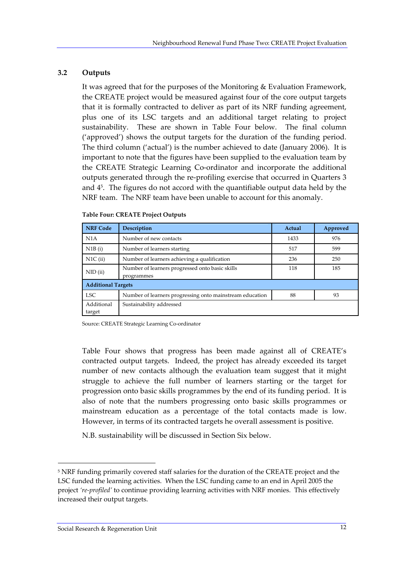## **3.2 Outputs**

It was agreed that for the purposes of the Monitoring & Evaluation Framework, the CREATE project would be measured against four of the core output targets that it is formally contracted to deliver as part of its NRF funding agreement, plus one of its LSC targets and an additional target relating to project sustainability. These are shown in Table Four below. The final column ('approved') shows the output targets for the duration of the funding period. The third column ('actual') is the number achieved to date (January 2006). It is important to note that the figures have been supplied to the evaluation team by the CREATE Strategic Learning Co-ordinator and incorporate the additional outputs generated through the re‐profiling exercise that occurred in Quarters 3 and 45. The figures do not accord with the quantifiable output data held by the NRF team. The NRF team have been unable to account for this anomaly.

| <b>NRF Code</b>           | <b>Description</b>                                            | Actual | Approved |  |
|---------------------------|---------------------------------------------------------------|--------|----------|--|
| N1A                       | Number of new contacts                                        | 1433   | 976      |  |
| N1B(i)                    | Number of learners starting                                   | 517    | 599      |  |
| $N1C$ (ii)                | Number of learners achieving a qualification                  | 236    | 250      |  |
| $NID$ (ii)                | Number of learners progressed onto basic skills<br>programmes | 118    | 185      |  |
| <b>Additional Targets</b> |                                                               |        |          |  |
| <b>LSC</b>                | Number of learners progressing onto mainstream education      | 88     | 93       |  |
| Additional<br>target      | Sustainability addressed                                      |        |          |  |

|  | <b>Table Four: CREATE Project Outputs</b> |  |  |
|--|-------------------------------------------|--|--|
|  |                                           |  |  |

Source: CREATE Strategic Learning Co‐ordinator

Table Four shows that progress has been made against all of CREATE's contracted output targets. Indeed, the project has already exceeded its target number of new contacts although the evaluation team suggest that it might struggle to achieve the full number of learners starting or the target for progression onto basic skills programmes by the end of its funding period. It is also of note that the numbers progressing onto basic skills programmes or mainstream education as a percentage of the total contacts made is low. However, in terms of its contracted targets he overall assessment is positive.

N.B. sustainability will be discussed in Section Six below.

<sup>5</sup> NRF funding primarily covered staff salaries for the duration of the CREATE project and the LSC funded the learning activities. When the LSC funding came to an end in April 2005 the project *'re‐profiled'* to continue providing learning activities with NRF monies. This effectively increased their output targets.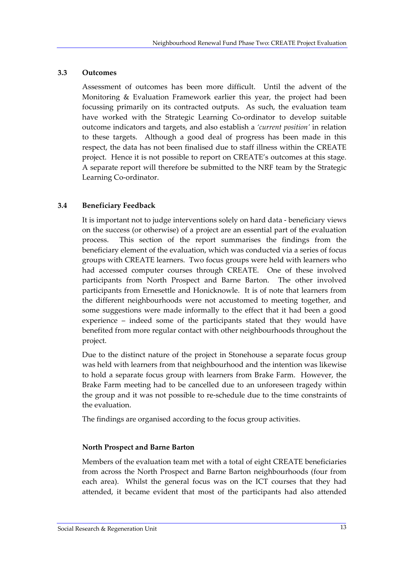#### **3.3 Outcomes**

Assessment of outcomes has been more difficult. Until the advent of the Monitoring & Evaluation Framework earlier this year, the project had been focussing primarily on its contracted outputs. As such, the evaluation team have worked with the Strategic Learning Co-ordinator to develop suitable outcome indicators and targets, and also establish a *'current position'* in relation to these targets. Although a good deal of progress has been made in this respect, the data has not been finalised due to staff illness within the CREATE project. Hence it is not possible to report on CREATE's outcomes at this stage. A separate report will therefore be submitted to the NRF team by the Strategic Learning Co‐ordinator.

#### **3.4 Beneficiary Feedback**

It is important not to judge interventions solely on hard data ‐ beneficiary views on the success (or otherwise) of a project are an essential part of the evaluation process. This section of the report summarises the findings from the beneficiary element of the evaluation, which was conducted via a series of focus groups with CREATE learners. Two focus groups were held with learners who had accessed computer courses through CREATE. One of these involved participants from North Prospect and Barne Barton. The other involved participants from Ernesettle and Honicknowle. It is of note that learners from the different neighbourhoods were not accustomed to meeting together, and some suggestions were made informally to the effect that it had been a good experience – indeed some of the participants stated that they would have benefited from more regular contact with other neighbourhoods throughout the project.

Due to the distinct nature of the project in Stonehouse a separate focus group was held with learners from that neighbourhood and the intention was likewise to hold a separate focus group with learners from Brake Farm. However, the Brake Farm meeting had to be cancelled due to an unforeseen tragedy within the group and it was not possible to re‐schedule due to the time constraints of the evaluation.

The findings are organised according to the focus group activities.

#### **North Prospect and Barne Barton**

Members of the evaluation team met with a total of eight CREATE beneficiaries from across the North Prospect and Barne Barton neighbourhoods (four from each area). Whilst the general focus was on the ICT courses that they had attended, it became evident that most of the participants had also attended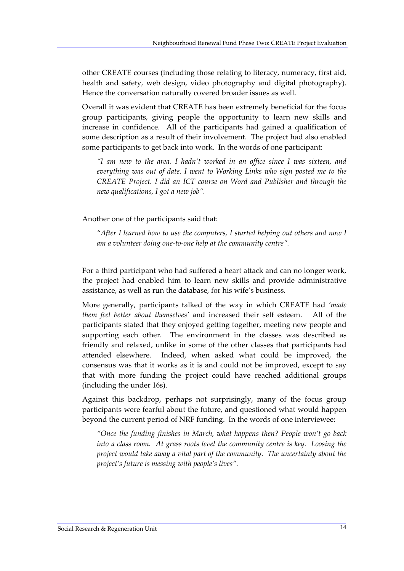other CREATE courses (including those relating to literacy, numeracy, first aid, health and safety, web design, video photography and digital photography). Hence the conversation naturally covered broader issues as well.

Overall it was evident that CREATE has been extremely beneficial for the focus group participants, giving people the opportunity to learn new skills and increase in confidence. All of the participants had gained a qualification of some description as a result of their involvement. The project had also enabled some participants to get back into work. In the words of one participant:

*"I am new to the area. I hadn't worked in an office since I was sixteen, and everything was out of date. I went to Working Links who sign posted me to the CREATE Project. I did an ICT course on Word and Publisher and through the new qualifications, I got a new job".*

Another one of the participants said that:

*"After I learned how to use the computers, I started helping out others and now I am a volunteer doing one‐to‐one help at the community centre".*

For a third participant who had suffered a heart attack and can no longer work, the project had enabled him to learn new skills and provide administrative assistance, as well as run the database, for his wife's business.

More generally, participants talked of the way in which CREATE had *'made them feel better about themselves'* and increased their self esteem. All of the participants stated that they enjoyed getting together, meeting new people and supporting each other. The environment in the classes was described as friendly and relaxed, unlike in some of the other classes that participants had attended elsewhere. Indeed, when asked what could be improved, the consensus was that it works as it is and could not be improved, except to say that with more funding the project could have reached additional groups (including the under 16s).

Against this backdrop, perhaps not surprisingly, many of the focus group participants were fearful about the future, and questioned what would happen beyond the current period of NRF funding. In the words of one interviewee:

*"Once the funding finishes in March, what happens then? People won't go back into a class room. At grass roots level the community centre is key. Loosing the project would take away a vital part of the community. The uncertainty about the project's future is messing with people's lives".*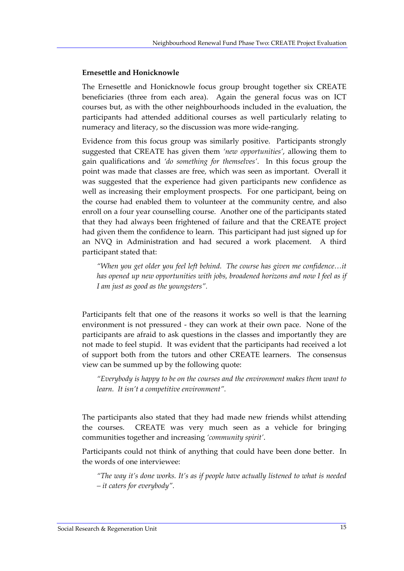#### **Ernesettle and Honicknowle**

The Ernesettle and Honicknowle focus group brought together six CREATE beneficiaries (three from each area). Again the general focus was on ICT courses but, as with the other neighbourhoods included in the evaluation, the participants had attended additional courses as well particularly relating to numeracy and literacy, so the discussion was more wide-ranging.

Evidence from this focus group was similarly positive. Participants strongly suggested that CREATE has given them *'new opportunities'*, allowing them to gain qualifications and *'do something for themselves'*. In this focus group the point was made that classes are free, which was seen as important. Overall it was suggested that the experience had given participants new confidence as well as increasing their employment prospects. For one participant, being on the course had enabled them to volunteer at the community centre, and also enroll on a four year counselling course. Another one of the participants stated that they had always been frightened of failure and that the CREATE project had given them the confidence to learn. This participant had just signed up for an NVQ in Administration and had secured a work placement. A third participant stated that:

*"When you get older you feel left behind. The course has given me confidence…it has opened up new opportunities with jobs, broadened horizons and now I feel as if I am just as good as the youngsters".*

Participants felt that one of the reasons it works so well is that the learning environment is not pressured - they can work at their own pace. None of the participants are afraid to ask questions in the classes and importantly they are not made to feel stupid. It was evident that the participants had received a lot of support both from the tutors and other CREATE learners. The consensus view can be summed up by the following quote:

*"Everybody is happy to be on the courses and the environment makes them want to learn. It isn't a competitive environment".*

The participants also stated that they had made new friends whilst attending the courses. CREATE was very much seen as a vehicle for bringing communities together and increasing *'community spirit'*.

Participants could not think of anything that could have been done better. In the words of one interviewee:

*"The way it's done works. It's as if people have actually listened to what is needed – it caters for everybody".*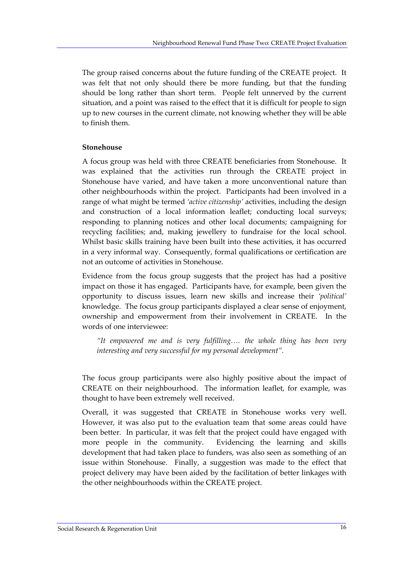The group raised concerns about the future funding of the CREATE project. It was felt that not only should there be more funding, but that the funding should be long rather than short term. People felt unnerved by the current situation, and a point was raised to the effect that it is difficult for people to sign up to new courses in the current climate, not knowing whether they will be able to finish them.

#### **Stonehouse**

A focus group was held with three CREATE beneficiaries from Stonehouse. It was explained that the activities run through the CREATE project in Stonehouse have varied, and have taken a more unconventional nature than other neighbourhoods within the project. Participants had been involved in a range of what might be termed *'active citizenship'* activities, including the design and construction of a local information leaflet; conducting local surveys; responding to planning notices and other local documents; campaigning for recycling facilities; and, making jewellery to fundraise for the local school. Whilst basic skills training have been built into these activities, it has occurred in a very informal way. Consequently, formal qualifications or certification are not an outcome of activities in Stonehouse.

Evidence from the focus group suggests that the project has had a positive impact on those it has engaged. Participants have, for example, been given the opportunity to discuss issues, learn new skills and increase their *'political'* knowledge. The focus group participants displayed a clear sense of enjoyment, ownership and empowerment from their involvement in CREATE. In the words of one interviewee:

*"It empowered me and is very fulfilling…. the whole thing has been very interesting and very successful for my personal development".*

The focus group participants were also highly positive about the impact of CREATE on their neighbourhood. The information leaflet, for example, was thought to have been extremely well received.

Overall, it was suggested that CREATE in Stonehouse works very well. However, it was also put to the evaluation team that some areas could have been better. In particular, it was felt that the project could have engaged with more people in the community. Evidencing the learning and skills development that had taken place to funders, was also seen as something of an issue within Stonehouse. Finally, a suggestion was made to the effect that project delivery may have been aided by the facilitation of better linkages with the other neighbourhoods within the CREATE project.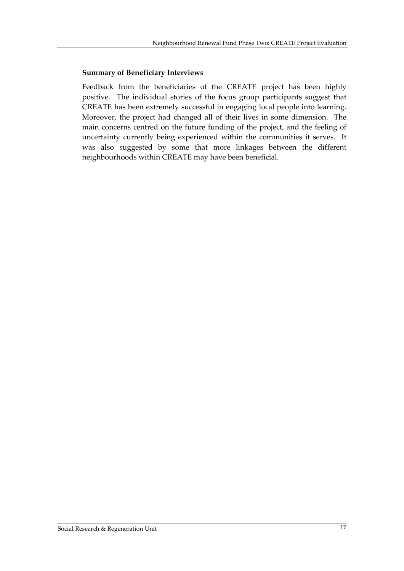#### **Summary of Beneficiary Interviews**

Feedback from the beneficiaries of the CREATE project has been highly positive. The individual stories of the focus group participants suggest that CREATE has been extremely successful in engaging local people into learning. Moreover, the project had changed all of their lives in some dimension. The main concerns centred on the future funding of the project, and the feeling of uncertainty currently being experienced within the communities it serves. It was also suggested by some that more linkages between the different neighbourhoods within CREATE may have been beneficial.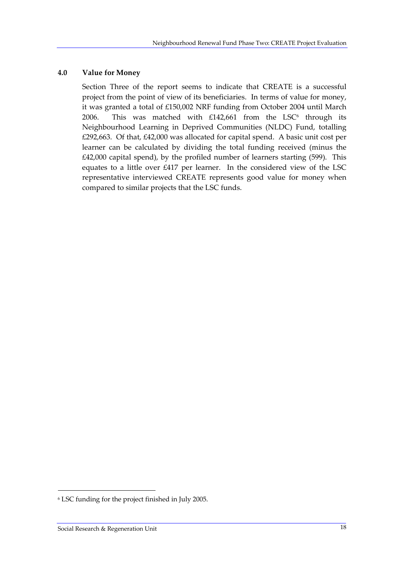#### **4.0 Value for Money**

Section Three of the report seems to indicate that CREATE is a successful project from the point of view of its beneficiaries. In terms of value for money, it was granted a total of £150,002 NRF funding from October 2004 until March 2006. This was matched with £142,661 from the LSC<sup>6</sup> through its Neighbourhood Learning in Deprived Communities (NLDC) Fund, totalling £292,663. Of that, £42,000 was allocated for capital spend. A basic unit cost per learner can be calculated by dividing the total funding received (minus the £42,000 capital spend), by the profiled number of learners starting (599). This equates to a little over £417 per learner. In the considered view of the LSC representative interviewed CREATE represents good value for money when compared to similar projects that the LSC funds.

<sup>6</sup> LSC funding for the project finished in July 2005.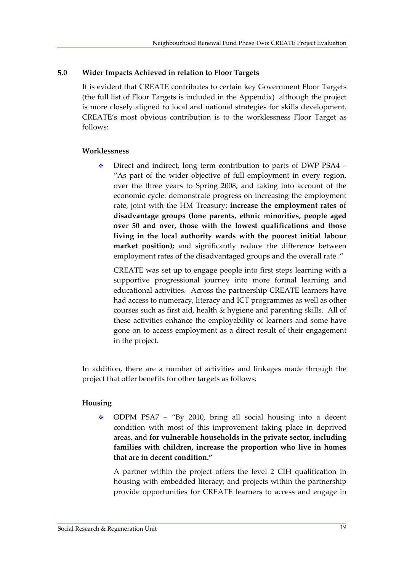#### **5.0 Wider Impacts Achieved in relation to Floor Targets**

It is evident that CREATE contributes to certain key Government Floor Targets (the full list of Floor Targets is included in the Appendix) although the project is more closely aligned to local and national strategies for skills development. CREATE's most obvious contribution is to the worklessness Floor Target as follows:

#### **Worklessness**

 Direct and indirect, long term contribution to parts of DWP PSA4 – "As part of the wider objective of full employment in every region, over the three years to Spring 2008, and taking into account of the economic cycle: demonstrate progress on increasing the employment rate, joint with the HM Treasury; **increase the employment rates of disadvantage groups (lone parents, ethnic minorities, people aged over 50 and over, those with the lowest qualifications and those living in the local authority wards with the poorest initial labour market position);** and significantly reduce the difference between employment rates of the disadvantaged groups and the overall rate ."

CREATE was set up to engage people into first steps learning with a supportive progressional journey into more formal learning and educational activities. Across the partnership CREATE learners have had access to numeracy, literacy and ICT programmes as well as other courses such as first aid, health & hygiene and parenting skills. All of these activities enhance the employability of learners and some have gone on to access employment as a direct result of their engagement in the project.

In addition, there are a number of activities and linkages made through the project that offer benefits for other targets as follows:

#### **Housing**

 ODPM PSA7 – "By 2010, bring all social housing into a decent condition with most of this improvement taking place in deprived areas, and **for vulnerable households in the private sector, including families with children, increase the proportion who live in homes that are in decent condition."** 

A partner within the project offers the level 2 CIH qualification in housing with embedded literacy; and projects within the partnership provide opportunities for CREATE learners to access and engage in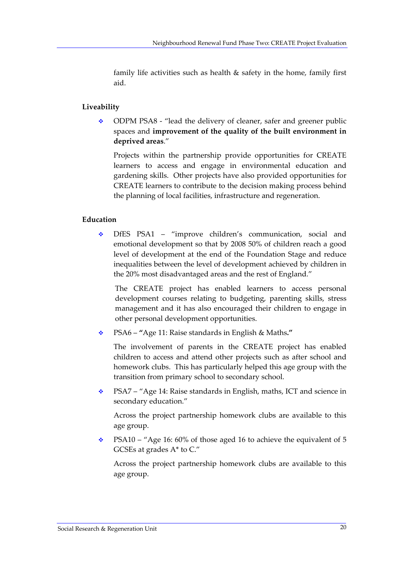family life activities such as health  $\&$  safety in the home, family first aid.

#### **Liveability**

◆ ODPM PSA8 - "lead the delivery of cleaner, safer and greener public spaces and **improvement of the quality of the built environment in deprived areas**."

Projects within the partnership provide opportunities for CREATE learners to access and engage in environmental education and gardening skills. Other projects have also provided opportunities for CREATE learners to contribute to the decision making process behind the planning of local facilities, infrastructure and regeneration.

#### **Education**

 DfES PSA1 – "improve children's communication, social and emotional development so that by 2008 50% of children reach a good level of development at the end of the Foundation Stage and reduce inequalities between the level of development achieved by children in the 20% most disadvantaged areas and the rest of England."

The CREATE project has enabled learners to access personal development courses relating to budgeting, parenting skills, stress management and it has also encouraged their children to engage in other personal development opportunities.

PSA6 – **"**Age 11: Raise standards in English & Maths**."** 

The involvement of parents in the CREATE project has enabled children to access and attend other projects such as after school and homework clubs. This has particularly helped this age group with the transition from primary school to secondary school.

 PSA7 – "Age 14: Raise standards in English, maths, ICT and science in secondary education."

Across the project partnership homework clubs are available to this age group.

• PSA10 – "Age 16: 60% of those aged 16 to achieve the equivalent of 5 GCSEs at grades A\* to C."

Across the project partnership homework clubs are available to this age group.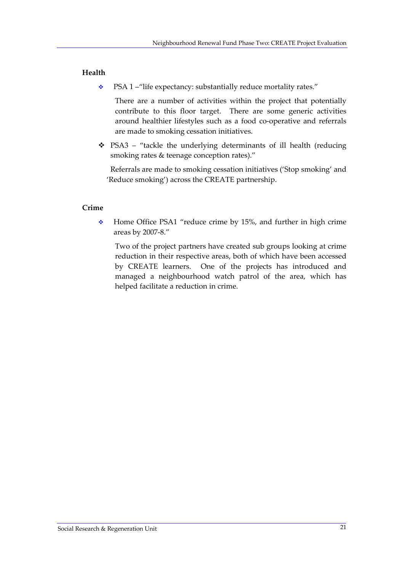#### **Health**

\* PSA 1 – "life expectancy: substantially reduce mortality rates."

There are a number of activities within the project that potentially contribute to this floor target. There are some generic activities around healthier lifestyles such as a food co‐operative and referrals are made to smoking cessation initiatives.

 $\div$  PSA3 – "tackle the underlying determinants of ill health (reducing smoking rates & teenage conception rates)."

Referrals are made to smoking cessation initiatives ('Stop smoking' and 'Reduce smoking') across the CREATE partnership.

#### **Crime**

 $\div$  Home Office PSA1 "reduce crime by 15%, and further in high crime areas by 2007‐8."

Two of the project partners have created sub groups looking at crime reduction in their respective areas, both of which have been accessed by CREATE learners. One of the projects has introduced and managed a neighbourhood watch patrol of the area, which has helped facilitate a reduction in crime.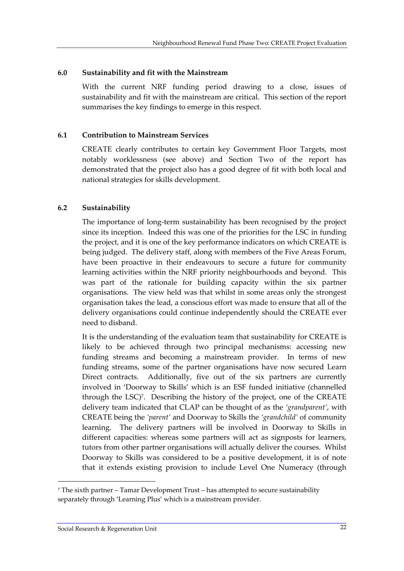#### **6.0 Sustainability and fit with the Mainstream**

With the current NRF funding period drawing to a close, issues of sustainability and fit with the mainstream are critical. This section of the report summarises the key findings to emerge in this respect.

#### **6.1 Contribution to Mainstream Services**

CREATE clearly contributes to certain key Government Floor Targets, most notably worklessness (see above) and Section Two of the report has demonstrated that the project also has a good degree of fit with both local and national strategies for skills development.

#### **6.2 Sustainability**

The importance of long‐term sustainability has been recognised by the project since its inception. Indeed this was one of the priorities for the LSC in funding the project, and it is one of the key performance indicators on which CREATE is being judged. The delivery staff, along with members of the Five Areas Forum, have been proactive in their endeavours to secure a future for community learning activities within the NRF priority neighbourhoods and beyond. This was part of the rationale for building capacity within the six partner organisations. The view held was that whilst in some areas only the strongest organisation takes the lead, a conscious effort was made to ensure that all of the delivery organisations could continue independently should the CREATE ever need to disband.

It is the understanding of the evaluation team that sustainability for CREATE is likely to be achieved through two principal mechanisms: accessing new funding streams and becoming a mainstream provider. In terms of new funding streams, some of the partner organisations have now secured Learn Direct contracts. Additionally, five out of the six partners are currently involved in 'Doorway to Skills' which is an ESF funded initiative (channelled through the LSC)<sup>7</sup>. Describing the history of the project, one of the CREATE delivery team indicated that CLAP can be thought of as the *'grandparent'*, with CREATE being the *'parent'* and Doorway to Skills the *'grandchild'* of community learning. The delivery partners will be involved in Doorway to Skills in different capacities: whereas some partners will act as signposts for learners, tutors from other partner organisations will actually deliver the courses. Whilst Doorway to Skills was considered to be a positive development, it is of note that it extends existing provision to include Level One Numeracy (through

 $7$  The sixth partner – Tamar Development Trust – has attempted to secure sustainability separately through 'Learning Plus' which is a mainstream provider.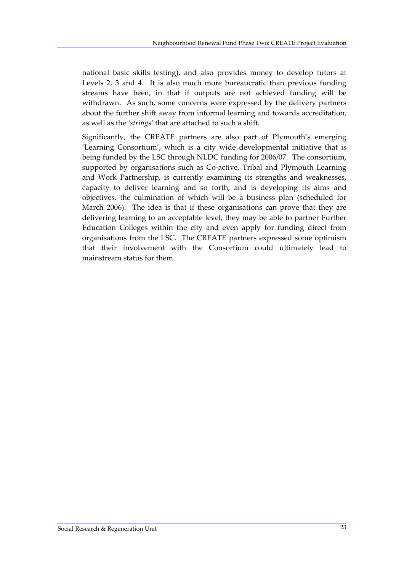national basic skills testing), and also provides money to develop tutors at Levels 2, 3 and 4. It is also much more bureaucratic than previous funding streams have been, in that if outputs are not achieved funding will be withdrawn. As such, some concerns were expressed by the delivery partners about the further shift away from informal learning and towards accreditation, as well as the *'strings'* that are attached to such a shift.

Significantly, the CREATE partners are also part of Plymouth's emerging 'Learning Consortium', which is a city wide developmental initiative that is being funded by the LSC through NLDC funding for 2006/07. The consortium, supported by organisations such as Co-active, Tribal and Plymouth Learning and Work Partnership, is currently examining its strengths and weaknesses, capacity to deliver learning and so forth, and is developing its aims and objectives, the culmination of which will be a business plan (scheduled for March 2006). The idea is that if these organisations can prove that they are delivering learning to an acceptable level, they may be able to partner Further Education Colleges within the city and even apply for funding direct from organisations from the LSC. The CREATE partners expressed some optimism that their involvement with the Consortium could ultimately lead to mainstream status for them.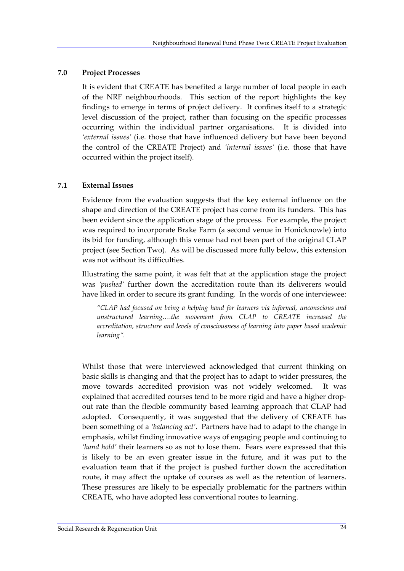#### **7.0 Project Processes**

It is evident that CREATE has benefited a large number of local people in each of the NRF neighbourhoods. This section of the report highlights the key findings to emerge in terms of project delivery. It confines itself to a strategic level discussion of the project, rather than focusing on the specific processes occurring within the individual partner organisations. It is divided into *'external issues'* (i.e. those that have influenced delivery but have been beyond the control of the CREATE Project) and *'internal issues'* (i.e. those that have occurred within the project itself).

#### **7.1 External Issues**

Evidence from the evaluation suggests that the key external influence on the shape and direction of the CREATE project has come from its funders. This has been evident since the application stage of the process. For example, the project was required to incorporate Brake Farm (a second venue in Honicknowle) into its bid for funding, although this venue had not been part of the original CLAP project (see Section Two). As will be discussed more fully below, this extension was not without its difficulties.

Illustrating the same point, it was felt that at the application stage the project was *'pushed'* further down the accreditation route than its deliverers would have liked in order to secure its grant funding. In the words of one interviewee:

*"CLAP had focused on being a helping hand for learners via informal, unconscious and unstructured learning….the movement from CLAP to CREATE increased the accreditation, structure and levels of consciousness of learning into paper based academic learning".*

Whilst those that were interviewed acknowledged that current thinking on basic skills is changing and that the project has to adapt to wider pressures, the move towards accredited provision was not widely welcomed. It was explained that accredited courses tend to be more rigid and have a higher dropout rate than the flexible community based learning approach that CLAP had adopted. Consequently, it was suggested that the delivery of CREATE has been something of a *'balancing act'*. Partners have had to adapt to the change in emphasis, whilst finding innovative ways of engaging people and continuing to *'hand hold'* their learners so as not to lose them. Fears were expressed that this is likely to be an even greater issue in the future, and it was put to the evaluation team that if the project is pushed further down the accreditation route, it may affect the uptake of courses as well as the retention of learners. These pressures are likely to be especially problematic for the partners within CREATE, who have adopted less conventional routes to learning.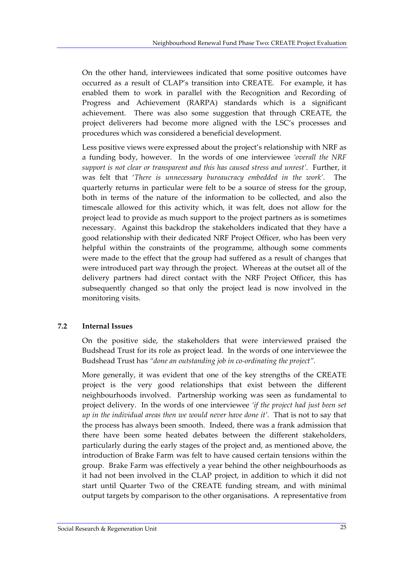On the other hand, interviewees indicated that some positive outcomes have occurred as a result of CLAP's transition into CREATE. For example, it has enabled them to work in parallel with the Recognition and Recording of Progress and Achievement (RARPA) standards which is a significant achievement. There was also some suggestion that through CREATE, the project deliverers had become more aligned with the LSC's processes and procedures which was considered a beneficial development.

Less positive views were expressed about the project's relationship with NRF as a funding body, however. In the words of one interviewee *'overall the NRF support is not clear or transparent and this has caused stress and unrest'.* Further, it was felt that '*There is unnecessary bureaucracy embedded in the work'.* The quarterly returns in particular were felt to be a source of stress for the group, both in terms of the nature of the information to be collected, and also the timescale allowed for this activity which, it was felt, does not allow for the project lead to provide as much support to the project partners as is sometimes necessary. Against this backdrop the stakeholders indicated that they have a good relationship with their dedicated NRF Project Officer, who has been very helpful within the constraints of the programme, although some comments were made to the effect that the group had suffered as a result of changes that were introduced part way through the project. Whereas at the outset all of the delivery partners had direct contact with the NRF Project Officer, this has subsequently changed so that only the project lead is now involved in the monitoring visits.

#### **7.2 Internal Issues**

On the positive side, the stakeholders that were interviewed praised the Budshead Trust for its role as project lead. In the words of one interviewee the Budshead Trust has *"done an outstanding job in co‐ordinating the project".*

More generally, it was evident that one of the key strengths of the CREATE project is the very good relationships that exist between the different neighbourhoods involved. Partnership working was seen as fundamental to project delivery. In the words of one interviewee *'if the project had just been set up in the individual areas then we would never have done it'.* That is not to say that the process has always been smooth. Indeed, there was a frank admission that there have been some heated debates between the different stakeholders, particularly during the early stages of the project and, as mentioned above, the introduction of Brake Farm was felt to have caused certain tensions within the group. Brake Farm was effectively a year behind the other neighbourhoods as it had not been involved in the CLAP project, in addition to which it did not start until Quarter Two of the CREATE funding stream, and with minimal output targets by comparison to the other organisations. A representative from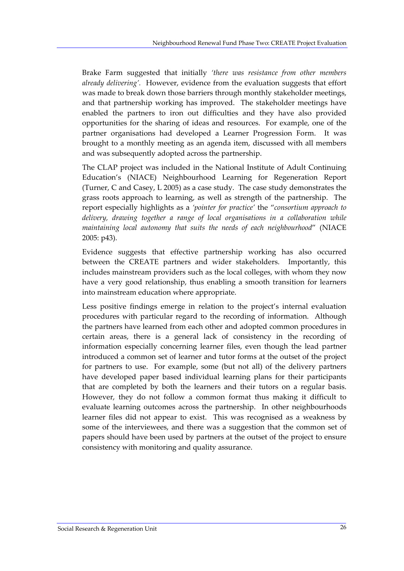Brake Farm suggested that initially *'there was resistance from other members already delivering'.* However, evidence from the evaluation suggests that effort was made to break down those barriers through monthly stakeholder meetings, and that partnership working has improved. The stakeholder meetings have enabled the partners to iron out difficulties and they have also provided opportunities for the sharing of ideas and resources. For example, one of the partner organisations had developed a Learner Progression Form. It was brought to a monthly meeting as an agenda item, discussed with all members and was subsequently adopted across the partnership.

The CLAP project was included in the National Institute of Adult Continuing Education's (NIACE) Neighbourhood Learning for Regeneration Report (Turner, C and Casey, L 2005) as a case study. The case study demonstrates the grass roots approach to learning, as well as strength of the partnership. The report especially highlights as a *'pointer for practice'* the "*consortium approach to delivery, drawing together a range of local organisations in a collaboration while maintaining local autonomy that suits the needs of each neighbourhood*" (NIACE 2005: p43).

Evidence suggests that effective partnership working has also occurred between the CREATE partners and wider stakeholders. Importantly, this includes mainstream providers such as the local colleges, with whom they now have a very good relationship, thus enabling a smooth transition for learners into mainstream education where appropriate.

Less positive findings emerge in relation to the project's internal evaluation procedures with particular regard to the recording of information. Although the partners have learned from each other and adopted common procedures in certain areas, there is a general lack of consistency in the recording of information especially concerning learner files, even though the lead partner introduced a common set of learner and tutor forms at the outset of the project for partners to use. For example, some (but not all) of the delivery partners have developed paper based individual learning plans for their participants that are completed by both the learners and their tutors on a regular basis. However, they do not follow a common format thus making it difficult to evaluate learning outcomes across the partnership. In other neighbourhoods learner files did not appear to exist. This was recognised as a weakness by some of the interviewees, and there was a suggestion that the common set of papers should have been used by partners at the outset of the project to ensure consistency with monitoring and quality assurance.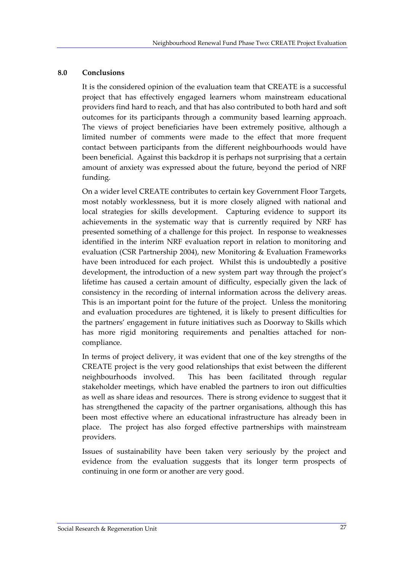#### **8.0 Conclusions**

It is the considered opinion of the evaluation team that CREATE is a successful project that has effectively engaged learners whom mainstream educational providers find hard to reach, and that has also contributed to both hard and soft outcomes for its participants through a community based learning approach. The views of project beneficiaries have been extremely positive, although a limited number of comments were made to the effect that more frequent contact between participants from the different neighbourhoods would have been beneficial. Against this backdrop it is perhaps not surprising that a certain amount of anxiety was expressed about the future, beyond the period of NRF funding.

On a wider level CREATE contributes to certain key Government Floor Targets, most notably worklessness, but it is more closely aligned with national and local strategies for skills development. Capturing evidence to support its achievements in the systematic way that is currently required by NRF has presented something of a challenge for this project. In response to weaknesses identified in the interim NRF evaluation report in relation to monitoring and evaluation (CSR Partnership 2004), new Monitoring & Evaluation Frameworks have been introduced for each project. Whilst this is undoubtedly a positive development, the introduction of a new system part way through the project's lifetime has caused a certain amount of difficulty, especially given the lack of consistency in the recording of internal information across the delivery areas. This is an important point for the future of the project. Unless the monitoring and evaluation procedures are tightened, it is likely to present difficulties for the partners' engagement in future initiatives such as Doorway to Skills which has more rigid monitoring requirements and penalties attached for noncompliance.

In terms of project delivery, it was evident that one of the key strengths of the CREATE project is the very good relationships that exist between the different neighbourhoods involved. This has been facilitated through regular stakeholder meetings, which have enabled the partners to iron out difficulties as well as share ideas and resources. There is strong evidence to suggest that it has strengthened the capacity of the partner organisations, although this has been most effective where an educational infrastructure has already been in place. The project has also forged effective partnerships with mainstream providers.

Issues of sustainability have been taken very seriously by the project and evidence from the evaluation suggests that its longer term prospects of continuing in one form or another are very good.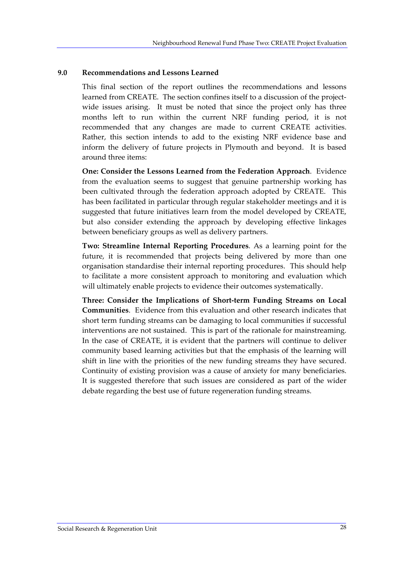#### **9.0 Recommendations and Lessons Learned**

This final section of the report outlines the recommendations and lessons learned from CREATE. The section confines itself to a discussion of the projectwide issues arising. It must be noted that since the project only has three months left to run within the current NRF funding period, it is not recommended that any changes are made to current CREATE activities. Rather, this section intends to add to the existing NRF evidence base and inform the delivery of future projects in Plymouth and beyond. It is based around three items:

**One: Consider the Lessons Learned from the Federation Approach**. Evidence from the evaluation seems to suggest that genuine partnership working has been cultivated through the federation approach adopted by CREATE. This has been facilitated in particular through regular stakeholder meetings and it is suggested that future initiatives learn from the model developed by CREATE, but also consider extending the approach by developing effective linkages between beneficiary groups as well as delivery partners.

**Two: Streamline Internal Reporting Procedures**. As a learning point for the future, it is recommended that projects being delivered by more than one organisation standardise their internal reporting procedures. This should help to facilitate a more consistent approach to monitoring and evaluation which will ultimately enable projects to evidence their outcomes systematically.

**Three: Consider the Implications of Short‐term Funding Streams on Local Communities**. Evidence from this evaluation and other research indicates that short term funding streams can be damaging to local communities if successful interventions are not sustained. This is part of the rationale for mainstreaming. In the case of CREATE, it is evident that the partners will continue to deliver community based learning activities but that the emphasis of the learning will shift in line with the priorities of the new funding streams they have secured. Continuity of existing provision was a cause of anxiety for many beneficiaries. It is suggested therefore that such issues are considered as part of the wider debate regarding the best use of future regeneration funding streams.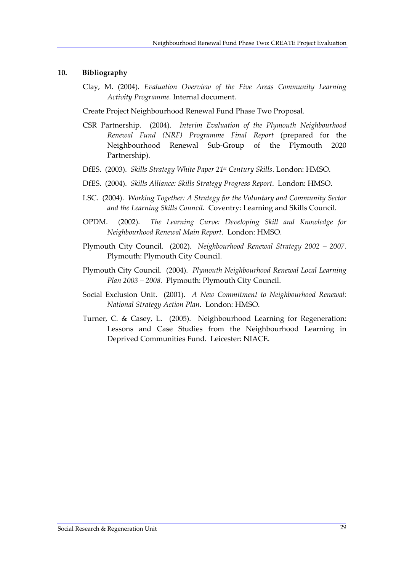#### **10. Bibliography**

Clay, M. (2004). *Evaluation Overview of the Five Areas Community Learning Activity Programme.* Internal document.

Create Project Neighbourhood Renewal Fund Phase Two Proposal.

- CSR Partnership. (2004). *Interim Evaluation of the Plymouth Neighbourhood Renewal Fund (NRF) Programme Final Report* (prepared for the Neighbourhood Renewal Sub‐Group of the Plymouth 2020 Partnership).
- DfES. (2003). *Skills Strategy White Paper 21st Century Skills*. London: HMSO.
- DfES. (2004). *Skills Alliance: Skills Strategy Progress Report*. London: HMSO.
- LSC. (2004). *Working Together: A Strategy for the Voluntary and Community Sector and the Learning Skills Council.* Coventry: Learning and Skills Council.
- OPDM. (2002). *The Learning Curve: Developing Skill and Knowledge for Neighbourhood Renewal Main Report*. London: HMSO.
- Plymouth City Council. (2002). *Neighbourhood Renewal Strategy 2002 – 2007.* Plymouth: Plymouth City Council.
- Plymouth City Council. (2004). *Plymouth Neighbourhood Renewal Local Learning Plan 2003 – 2008.* Plymouth: Plymouth City Council.
- Social Exclusion Unit. (2001). *A New Commitment to Neighbourhood Renewal: National Strategy Action Plan*. London: HMSO.
- Turner, C. & Casey, L. (2005). Neighbourhood Learning for Regeneration: Lessons and Case Studies from the Neighbourhood Learning in Deprived Communities Fund. Leicester: NIACE.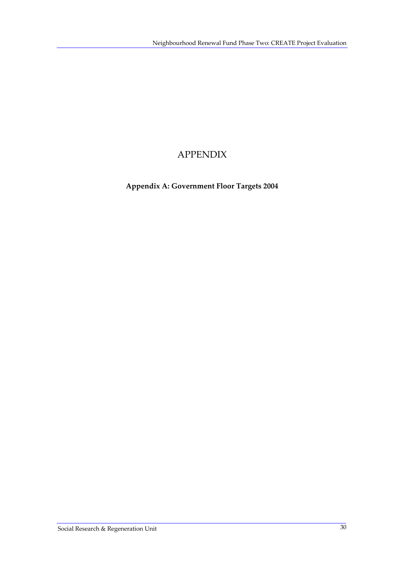# APPENDIX

**Appendix A: Government Floor Targets 2004**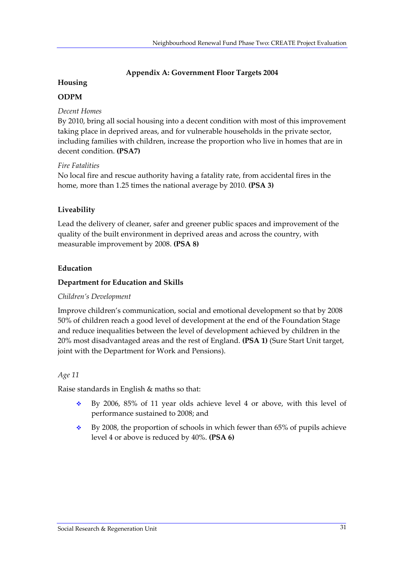## **Appendix A: Government Floor Targets 2004**

### **Housing**

## **ODPM**

### *Decent Homes*

By 2010, bring all social housing into a decent condition with most of this improvement taking place in deprived areas, and for vulnerable households in the private sector, including families with children, increase the proportion who live in homes that are in decent condition. **(PSA7)**

#### *Fire Fatalities*

No local fire and rescue authority having a fatality rate, from accidental fires in the home, more than 1.25 times the national average by 2010. **(PSA 3)**

# **Liveability**

Lead the delivery of cleaner, safer and greener public spaces and improvement of the quality of the built environment in deprived areas and across the country, with measurable improvement by 2008. **(PSA 8)**

#### **Education**

### **Department for Education and Skills**

#### *Children's Development*

Improve children's communication, social and emotional development so that by 2008 50% of children reach a good level of development at the end of the Foundation Stage and reduce inequalities between the level of development achieved by children in the 20% most disadvantaged areas and the rest of England. **(PSA 1)** (Sure Start Unit target, joint with the Department for Work and Pensions).

#### *Age 11*

Raise standards in English & maths so that:

- By 2006, 85% of 11 year olds achieve level 4 or above, with this level of performance sustained to 2008; and
- $\div$  By 2008, the proportion of schools in which fewer than 65% of pupils achieve level 4 or above is reduced by 40%. **(PSA 6)**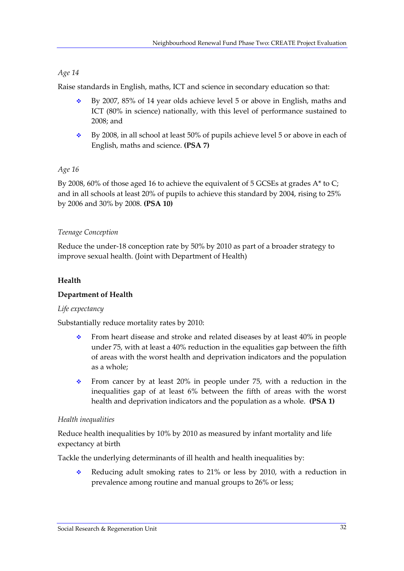## *Age 14*

Raise standards in English, maths, ICT and science in secondary education so that:

- By 2007, 85% of 14 year olds achieve level 5 or above in English, maths and ICT (80% in science) nationally, with this level of performance sustained to 2008; and
- $\div$  By 2008, in all school at least 50% of pupils achieve level 5 or above in each of English, maths and science. **(PSA 7)**

## *Age 16*

By 2008, 60% of those aged 16 to achieve the equivalent of 5 GCSEs at grades A\* to C; and in all schools at least 20% of pupils to achieve this standard by 2004, rising to 25% by 2006 and 30% by 2008. **(PSA 10)**

## *Teenage Conception*

Reduce the under‐18 conception rate by 50% by 2010 as part of a broader strategy to improve sexual health. (Joint with Department of Health)

## **Health**

#### **Department of Health**

#### *Life expectancy*

Substantially reduce mortality rates by 2010:

- From heart disease and stroke and related diseases by at least  $40\%$  in people under 75, with at least a 40% reduction in the equalities gap between the fifth of areas with the worst health and deprivation indicators and the population as a whole;
- From cancer by at least 20% in people under 75, with a reduction in the inequalities gap of at least 6% between the fifth of areas with the worst health and deprivation indicators and the population as a whole. **(PSA 1)**

#### *Health inequalities*

Reduce health inequalities by 10% by 2010 as measured by infant mortality and life expectancy at birth

Tackle the underlying determinants of ill health and health inequalities by:

Reducing adult smoking rates to 21% or less by 2010, with a reduction in prevalence among routine and manual groups to 26% or less;